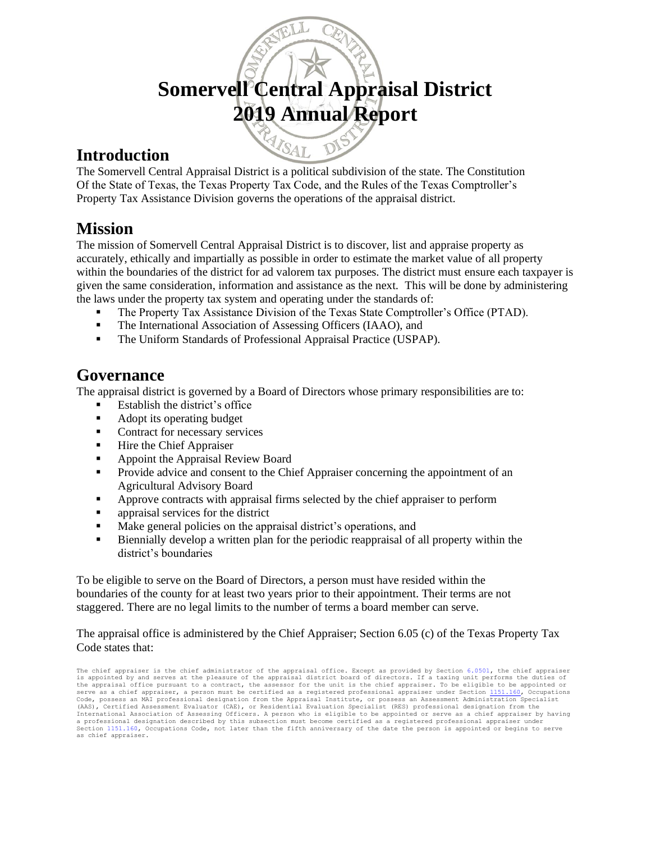# **Somervell Central Appraisal District 2019 Annual Report**

### **Introduction**

The Somervell Central Appraisal District is a political subdivision of the state. The Constitution Of the State of Texas, the Texas Property Tax Code, and the Rules of the Texas Comptroller's Property Tax Assistance Division governs the operations of the appraisal district.

MATSAL

### **Mission**

The mission of Somervell Central Appraisal District is to discover, list and appraise property as accurately, ethically and impartially as possible in order to estimate the market value of all property within the boundaries of the district for ad valorem tax purposes. The district must ensure each taxpayer is given the same consideration, information and assistance as the next. This will be done by administering the laws under the property tax system and operating under the standards of:

- The Property Tax Assistance Division of the Texas State Comptroller's Office (PTAD).
- The International Association of Assessing Officers (IAAO), and
- **The Uniform Standards of Professional Appraisal Practice (USPAP).**

## **Governance**

The appraisal district is governed by a Board of Directors whose primary responsibilities are to:

- Establish the district's office
- Adopt its operating budget
- Contract for necessary services
- Hire the Chief Appraiser
- Appoint the Appraisal Review Board
- **Provide advice and consent to the Chief Appraiser concerning the appointment of an** Agricultural Advisory Board
- Approve contracts with appraisal firms selected by the chief appraiser to perform
- **•** appraisal services for the district
- Make general policies on the appraisal district's operations, and
- Biennially develop a written plan for the periodic reappraisal of all property within the district's boundaries

To be eligible to serve on the Board of Directors, a person must have resided within the boundaries of the county for at least two years prior to their appointment. Their terms are not staggered. There are no legal limits to the number of terms a board member can serve.

The appraisal office is administered by the Chief Appraiser; Section 6.05 (c) of the Texas Property Tax Code states that:

The chief appraiser is the chief administrator of the appraisal office. Except as provided by Section [6.0501,](http://www.statutes.legis.state.tx.us/GetStatute.aspx?Code=TX&Value=6.0501) the chief appraiser<br>is appointed by and serves at the pleasure of the appraisal district board of directors. If the appraisal office pursuant to a contract, the assessor for the unit is the chief appraiser. To be eligible to be appointed or serve as a chief appraiser, a person must be certified as a registered professional appraiser under Section <mark>1151.160, Occupations</mark><br>Code, possess an MAI professional designation from the Appraisal Institute, or possess an (AAS), Certified Assessment Evaluator (CAE), or Residential Evaluation Specialist (RES) professional designation from the International Association of Assessing Officers. A person who is eligible to be appointed or serve as a chief appraiser by having<br>a professional designation described by this subsection must become certified as a registere Section [1151.160,](http://www.statutes.legis.state.tx.us/GetStatute.aspx?Code=OC&Value=1151.160) Occupations Code, not later than the fifth anniversary of the date the person is appointed or begins to serve as chief appraiser.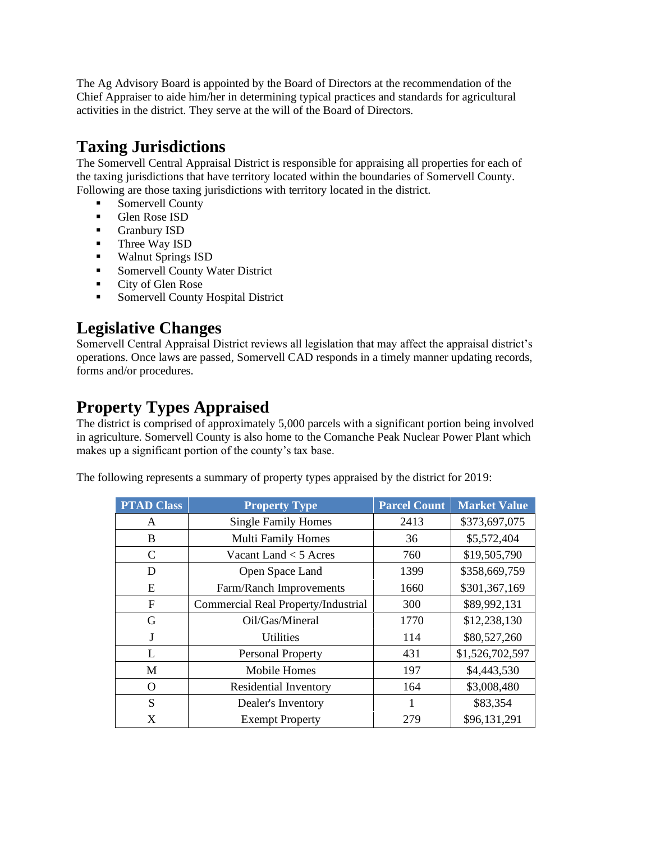The Ag Advisory Board is appointed by the Board of Directors at the recommendation of the Chief Appraiser to aide him/her in determining typical practices and standards for agricultural activities in the district. They serve at the will of the Board of Directors.

# **Taxing Jurisdictions**

The Somervell Central Appraisal District is responsible for appraising all properties for each of the taxing jurisdictions that have territory located within the boundaries of Somervell County. Following are those taxing jurisdictions with territory located in the district.

- Somervell County
- **•** Glen Rose ISD
- **•** Granbury ISD
- Three Way ISD
- Walnut Springs ISD
- **Exercise Somervell County Water District**
- City of Glen Rose
- **Somervell County Hospital District**

# **Legislative Changes**

Somervell Central Appraisal District reviews all legislation that may affect the appraisal district's operations. Once laws are passed, Somervell CAD responds in a timely manner updating records, forms and/or procedures.

# **Property Types Appraised**

The district is comprised of approximately 5,000 parcels with a significant portion being involved in agriculture. Somervell County is also home to the Comanche Peak Nuclear Power Plant which makes up a significant portion of the county's tax base.

The following represents a summary of property types appraised by the district for 2019:

| <b>PTAD Class</b> | <b>Property Type</b>                | <b>Parcel Count</b> | <b>Market Value</b> |
|-------------------|-------------------------------------|---------------------|---------------------|
| A                 | <b>Single Family Homes</b>          | 2413                | \$373,697,075       |
| B                 | <b>Multi Family Homes</b>           | 36                  | \$5,572,404         |
| C                 | Vacant Land $<$ 5 Acres             | 760                 | \$19,505,790        |
| D                 | Open Space Land                     | 1399                | \$358,669,759       |
| E                 | Farm/Ranch Improvements             | 1660                | \$301,367,169       |
| $\mathbf{F}$      | Commercial Real Property/Industrial | 300                 | \$89,992,131        |
| G                 | Oil/Gas/Mineral                     | 1770                | \$12,238,130        |
| J                 | <b>Utilities</b>                    | 114                 | \$80,527,260        |
| L                 | <b>Personal Property</b>            | 431                 | \$1,526,702,597     |
| M                 | <b>Mobile Homes</b>                 | 197                 | \$4,443,530         |
| O                 | Residential Inventory               | 164                 | \$3,008,480         |
| S                 | Dealer's Inventory                  |                     | \$83,354            |
| X                 | <b>Exempt Property</b>              | 279                 | \$96,131,291        |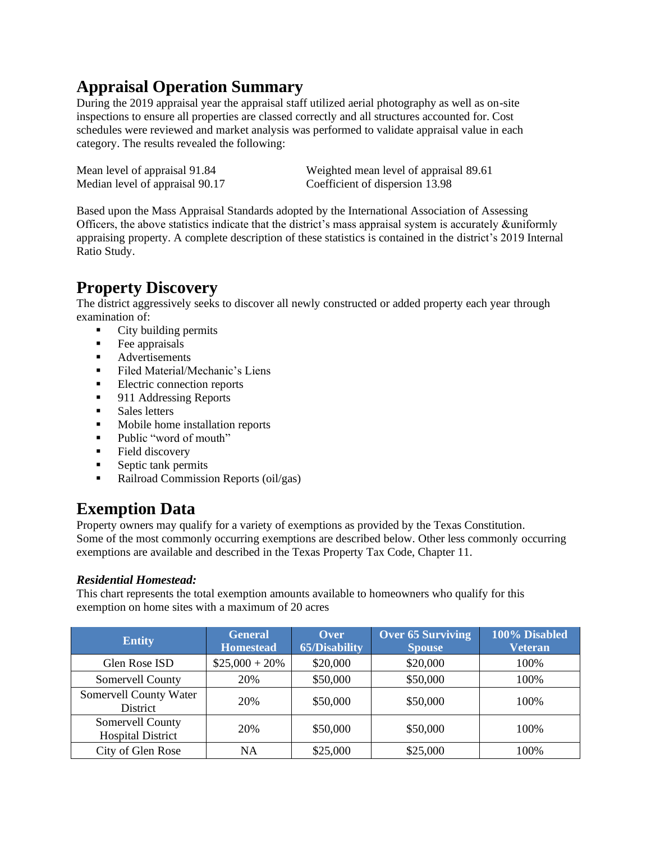# **Appraisal Operation Summary**

During the 2019 appraisal year the appraisal staff utilized aerial photography as well as on-site inspections to ensure all properties are classed correctly and all structures accounted for. Cost schedules were reviewed and market analysis was performed to validate appraisal value in each category. The results revealed the following:

Median level of appraisal 90.17 Coefficient of dispersion 13.98

Mean level of appraisal 91.84 Weighted mean level of appraisal 89.61

Based upon the Mass Appraisal Standards adopted by the International Association of Assessing Officers, the above statistics indicate that the district's mass appraisal system is accurately &uniformly appraising property. A complete description of these statistics is contained in the district's 2019 Internal Ratio Study.

# **Property Discovery**

The district aggressively seeks to discover all newly constructed or added property each year through examination of:

- City building permits
- Fee appraisals
- Advertisements
- Filed Material/Mechanic's Liens
- Electric connection reports
- 911 Addressing Reports
- Sales letters
- Mobile home installation reports
- Public "word of mouth"
- Field discovery
- Septic tank permits
- Railroad Commission Reports (oil/gas)

# **Exemption Data**

Property owners may qualify for a variety of exemptions as provided by the Texas Constitution. Some of the most commonly occurring exemptions are described below. Other less commonly occurring exemptions are available and described in the Texas Property Tax Code, Chapter 11.

#### *Residential Homestead:*

This chart represents the total exemption amounts available to homeowners who qualify for this exemption on home sites with a maximum of 20 acres

| <b>Entity</b>                                | <b>General</b><br><b>Homestead</b> | Over<br><b>65/Disability</b> | <b>Over 65 Surviving</b><br><b>Spouse</b> | 100% Disabled<br><b>Veteran</b> |
|----------------------------------------------|------------------------------------|------------------------------|-------------------------------------------|---------------------------------|
| Glen Rose ISD                                | $$25,000 + 20\%$                   | \$20,000                     | \$20,000                                  | 100%                            |
| Somervell County                             | 20%                                | \$50,000                     | \$50,000                                  | 100%                            |
| Somervell County Water<br>District           | 20%                                | \$50,000                     | \$50,000                                  | 100%                            |
| Somervell County<br><b>Hospital District</b> | 20%                                | \$50,000                     | \$50,000                                  | 100%                            |
| City of Glen Rose                            | <b>NA</b>                          | \$25,000                     | \$25,000                                  | 100%                            |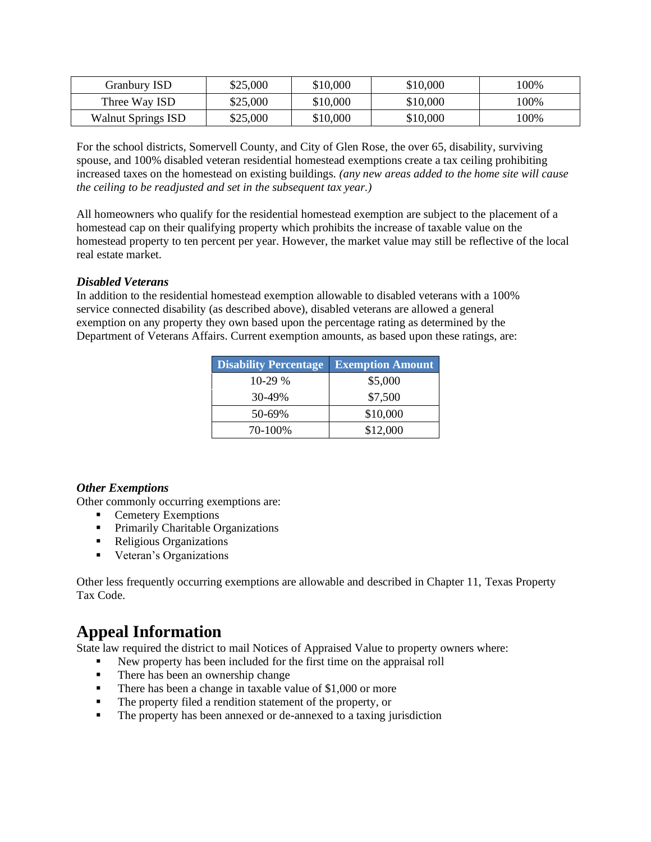| Granbury ISD              | \$25,000 | \$10,000 | \$10,000 | $100\%$ |
|---------------------------|----------|----------|----------|---------|
| Three Way ISD             | \$25,000 | \$10,000 | \$10,000 | 00%     |
| <b>Walnut Springs ISD</b> | \$25,000 | \$10,000 | \$10,000 | 00%     |

For the school districts, Somervell County, and City of Glen Rose, the over 65, disability, surviving spouse, and 100% disabled veteran residential homestead exemptions create a tax ceiling prohibiting increased taxes on the homestead on existing buildings. *(any new areas added to the home site will cause the ceiling to be readjusted and set in the subsequent tax year.)*

All homeowners who qualify for the residential homestead exemption are subject to the placement of a homestead cap on their qualifying property which prohibits the increase of taxable value on the homestead property to ten percent per year. However, the market value may still be reflective of the local real estate market.

#### *Disabled Veterans*

In addition to the residential homestead exemption allowable to disabled veterans with a 100% service connected disability (as described above), disabled veterans are allowed a general exemption on any property they own based upon the percentage rating as determined by the Department of Veterans Affairs. Current exemption amounts, as based upon these ratings, are:

| <b>Disability Percentage</b> | <b>Exemption Amount</b> |
|------------------------------|-------------------------|
| $10-29%$                     | \$5,000                 |
| 30-49%                       | \$7,500                 |
| 50-69%                       | \$10,000                |
| 70-100%                      | \$12,000                |

#### *Other Exemptions*

Other commonly occurring exemptions are:

- Cemetery Exemptions
- **•** Primarily Charitable Organizations
- Religious Organizations
- **•** Veteran's Organizations

Other less frequently occurring exemptions are allowable and described in Chapter 11, Texas Property Tax Code.

## **Appeal Information**

State law required the district to mail Notices of Appraised Value to property owners where:

- New property has been included for the first time on the appraisal roll
- There has been an ownership change
- There has been a change in taxable value of \$1,000 or more
- The property filed a rendition statement of the property, or
- The property has been annexed or de-annexed to a taxing jurisdiction